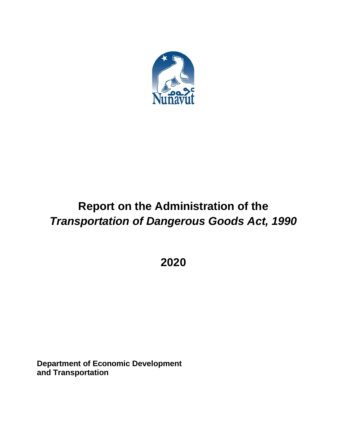

# **Report on the Administration of the** *Transportation of Dangerous Goods Act, 1990*

**2020**

**Department of Economic Development and Transportation**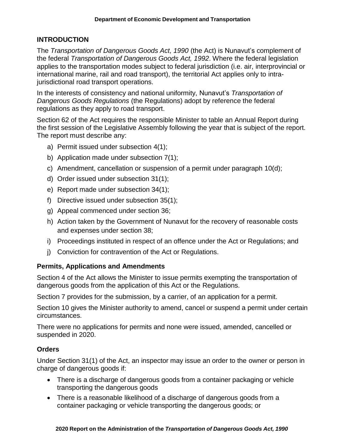## **INTRODUCTION**

The *Transportation of Dangerous Goods Act, 1990* (the Act) is Nunavut's complement of the federal *Transportation of Dangerous Goods Act, 1992*. Where the federal legislation applies to the transportation modes subject to federal jurisdiction (i.e. air, interprovincial or international marine, rail and road transport), the territorial Act applies only to intrajurisdictional road transport operations.

In the interests of consistency and national uniformity, Nunavut's *Transportation of Dangerous Goods Regulations* (the Regulations) adopt by reference the federal regulations as they apply to road transport.

Section 62 of the Act requires the responsible Minister to table an Annual Report during the first session of the Legislative Assembly following the year that is subject of the report. The report must describe any:

- a) Permit issued under subsection 4(1);
- b) Application made under subsection 7(1);
- c) Amendment, cancellation or suspension of a permit under paragraph 10(d);
- d) Order issued under subsection 31(1);
- e) Report made under subsection 34(1);
- f) Directive issued under subsection 35(1);
- g) Appeal commenced under section 36;
- h) Action taken by the Government of Nunavut for the recovery of reasonable costs and expenses under section 38;
- i) Proceedings instituted in respect of an offence under the Act or Regulations; and
- j) Conviction for contravention of the Act or Regulations.

## **Permits, Applications and Amendments**

Section 4 of the Act allows the Minister to issue permits exempting the transportation of dangerous goods from the application of this Act or the Regulations.

Section 7 provides for the submission, by a carrier, of an application for a permit.

Section 10 gives the Minister authority to amend, cancel or suspend a permit under certain circumstances.

There were no applications for permits and none were issued, amended, cancelled or suspended in 2020.

## **Orders**

Under Section 31(1) of the Act, an inspector may issue an order to the owner or person in charge of dangerous goods if:

- There is a discharge of dangerous goods from a container packaging or vehicle transporting the dangerous goods
- There is a reasonable likelihood of a discharge of dangerous goods from a container packaging or vehicle transporting the dangerous goods; or